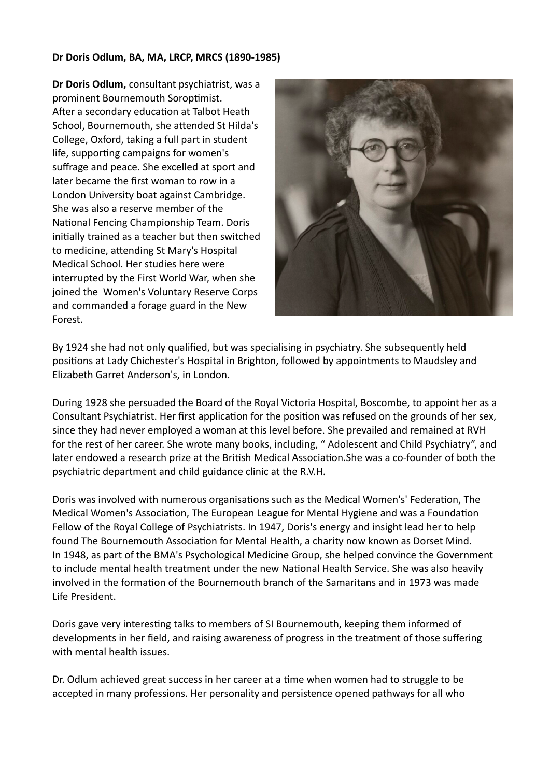## **Dr Doris Odlum, BA, MA, LRCP, MRCS (1890-1985)**

**Dr Doris Odlum,** consultant psychiatrist, was a prominent Bournemouth Soroptimist. After a secondary education at Talbot Heath School, Bournemouth, she attended St Hilda's College, Oxford, taking a full part in student life, supporting campaigns for women's suffrage and peace. She excelled at sport and later became the first woman to row in a London University boat against Cambridge. She was also a reserve member of the National Fencing Championship Team. Doris initially trained as a teacher but then switched to medicine, attending St Mary's Hospital Medical School. Her studies here were interrupted by the First World War, when she joined the Women's Voluntary Reserve Corps and commanded a forage guard in the New Forest.



By 1924 she had not only qualified, but was specialising in psychiatry. She subsequently held positions at Lady Chichester's Hospital in Brighton, followed by appointments to Maudsley and Elizabeth Garret Anderson's, in London.

During 1928 she persuaded the Board of the Royal Victoria Hospital, Boscombe, to appoint her as a Consultant Psychiatrist. Her first application for the position was refused on the grounds of her sex, since they had never employed a woman at this level before. She prevailed and remained at RVH for the rest of her career. She wrote many books, including, " Adolescent and Child Psychiatry", and later endowed a research prize at the British Medical Association. She was a co-founder of both the psychiatric department and child guidance clinic at the R.V.H.

Doris was involved with numerous organisations such as the Medical Women's' Federation, The Medical Women's Association, The European League for Mental Hygiene and was a Foundation Fellow of the Royal College of Psychiatrists. In 1947, Doris's energy and insight lead her to help found The Bournemouth Association for Mental Health, a charity now known as Dorset Mind. In 1948, as part of the BMA's Psychological Medicine Group, she helped convince the Government to include mental health treatment under the new National Health Service. She was also heavily involved in the formation of the Bournemouth branch of the Samaritans and in 1973 was made Life President.

Doris gave very interesting talks to members of SI Bournemouth, keeping them informed of developments in her field, and raising awareness of progress in the treatment of those suffering with mental health issues.

Dr. Odlum achieved great success in her career at a time when women had to struggle to be accepted in many professions. Her personality and persistence opened pathways for all who